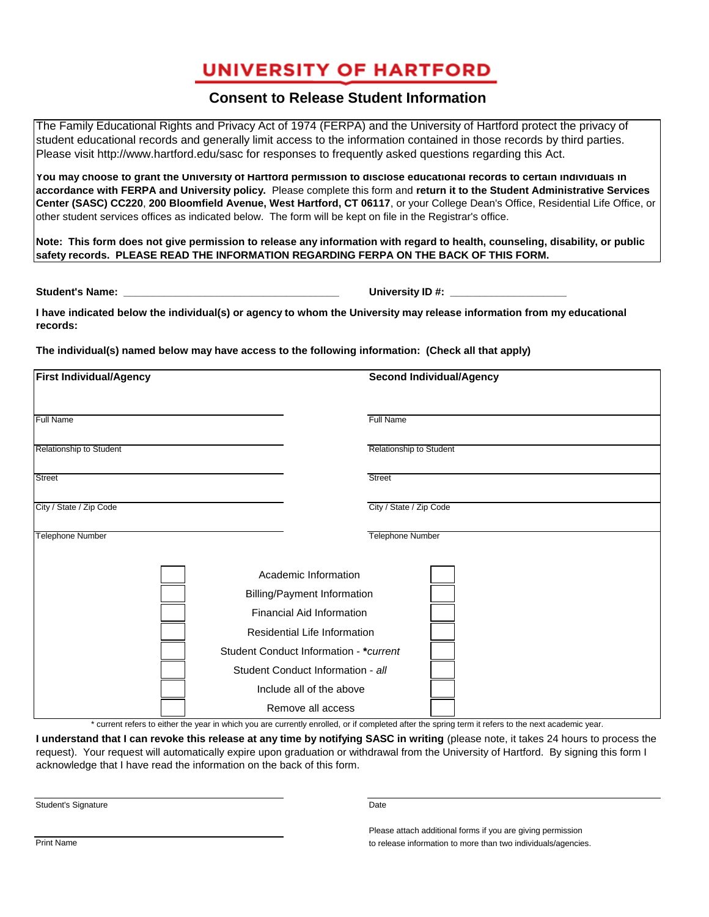## **UNIVERSITY OF HARTFORD**

## **Consent to Release Student Information**

The Family Educational Rights and Privacy Act of 1974 (FERPA) and the University of Hartford protect the privacy of student educational records and generally limit access to the information contained in those records by third parties. Please visit http://www.hartford.edu/sasc for responses to frequently asked questions regarding this Act.

**You may choose to grant the University of Hartford permission to disclose educational records to certain individuals in accordance with FERPA and University policy.** Please complete this form and **return it to the Student Administrative Services Center (SASC) CC220**, **200 Bloomfield Avenue, West Hartford, CT 06117**, or your College Dean's Office, Residential Life Office, or other student services offices as indicated below. The form will be kept on file in the Registrar's office.

**Note: This form does not give permission to release any information with regard to health, counseling, disability, or public safety records. PLEASE READ THE INFORMATION REGARDING FERPA ON THE BACK OF THIS FORM.**

**Student's Name: \_\_\_\_\_\_\_\_\_\_\_\_\_\_\_\_\_\_\_\_\_\_\_\_\_\_\_\_\_\_\_\_\_\_\_\_\_ University ID #: \_\_\_\_\_\_\_\_\_\_\_\_\_\_\_\_\_\_\_\_**

**I have indicated below the individual(s) or agency to whom the University may release information from my educational records:**

**The individual(s) named below may have access to the following information: (Check all that apply)**

| <b>First Individual/Agency</b> |                                        | <b>Second Individual/Agency</b> |
|--------------------------------|----------------------------------------|---------------------------------|
|                                |                                        |                                 |
| <b>Full Name</b>               |                                        | Full Name                       |
| Relationship to Student        |                                        | Relationship to Student         |
| <b>Street</b>                  |                                        | <b>Street</b>                   |
| City / State / Zip Code        |                                        | City / State / Zip Code         |
| Telephone Number               |                                        | Telephone Number                |
|                                | Academic Information                   |                                 |
|                                | <b>Billing/Payment Information</b>     |                                 |
|                                | Financial Aid Information              |                                 |
|                                | Residential Life Information           |                                 |
|                                | Student Conduct Information - *current |                                 |
|                                | Student Conduct Information - all      |                                 |
|                                | Include all of the above               |                                 |
|                                | Remove all access                      |                                 |

\* current refers to either the year in which you are currently enrolled, or if completed after the spring term it refers to the next academic year.

**I understand that I can revoke this release at any time by notifying SASC in writing (please note, it takes 24 hours to process the** request). Your request will automatically expire upon graduation or withdrawal from the University of Hartford. By signing this form I acknowledge that I have read the information on the back of this form.

Student's Signature Date

Please attach additional forms if you are giving permission Print Name to release information to more than two individuals/agencies.